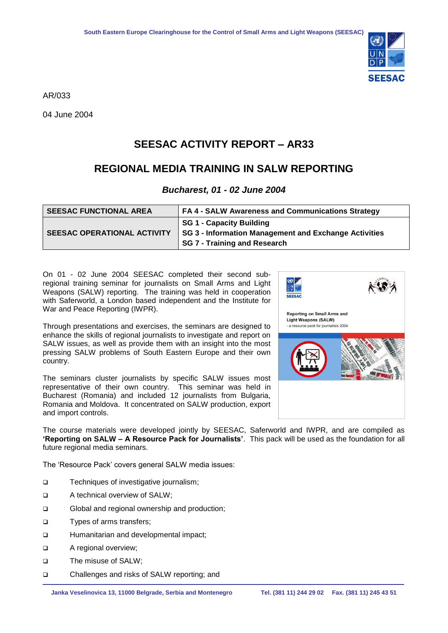

AR/033

04 June 2004

## **SEESAC ACTIVITY REPORT – AR33**

## **REGIONAL MEDIA TRAINING IN SALW REPORTING**

*Bucharest, 01 - 02 June 2004*

| <b>SEESAC FUNCTIONAL AREA</b>      | FA 4 - SALW Awareness and Communications Strategy                                                                               |
|------------------------------------|---------------------------------------------------------------------------------------------------------------------------------|
| <b>SEESAC OPERATIONAL ACTIVITY</b> | <b>SG 1 - Capacity Building</b><br>SG 3 - Information Management and Exchange Activities<br><b>SG 7 - Training and Research</b> |

On 01 - 02 June 2004 SEESAC completed their second subregional training seminar for journalists on Small Arms and Light Weapons (SALW) reporting. The training was held in cooperation with Saferworld, a London based independent and the Institute for War and Peace Reporting (IWPR).

Through presentations and exercises, the seminars are designed to enhance the skills of regional journalists to investigate and report on SALW issues, as well as provide them with an insight into the most pressing SALW problems of South Eastern Europe and their own country.

The seminars cluster journalists by specific SALW issues most representative of their own country. This seminar was held in Bucharest (Romania) and included 12 journalists from Bulgaria, Romania and Moldova. It concentrated on SALW production, export and import controls.



The course materials were developed jointly by SEESAC, Saferworld and IWPR, and are compiled as **'Reporting on SALW – A Resource Pack for Journalists'**. This pack will be used as the foundation for all future regional media seminars.

The 'Resource Pack' covers general SALW media issues:

- □ Techniques of investigative journalism;
- □ A technical overview of SALW;
- Global and regional ownership and production;
- □ Types of arms transfers;
- **Example 3** Humanitarian and developmental impact;
- A regional overview;
- □ The misuse of SALW;
- Challenges and risks of SALW reporting; and